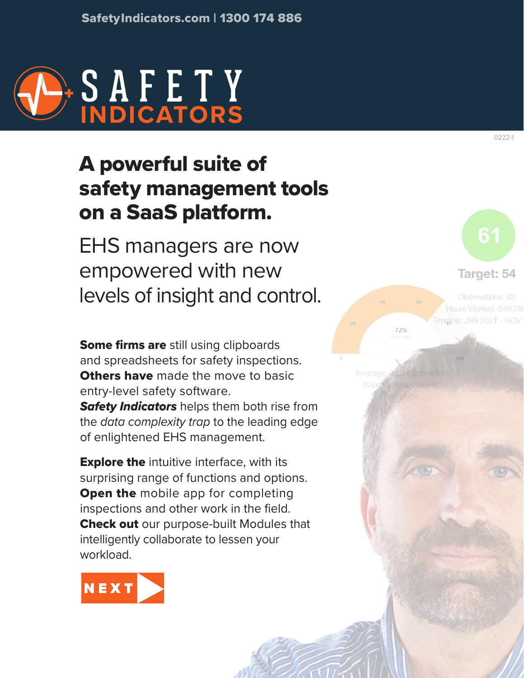

# A powerful suite of safety management tools on a SaaS platform.

EHS managers are now empowered with new levels of insight and control.

Some firms are still using clipboards and spreadsheets for safety inspections. **Others have** made the move to basic entry-level safety software.

*Safety Indicators* helps them both rise from the *data complexity trap* to the leading edge of enlightened EHS management.

**Explore the** intuitive interface, with its surprising range of functions and options. **Open the mobile app for completing** inspections and other work in the field. Check out our purpose-built Modules that intelligently collaborate to lessen your workload.



0222-1

Target: 54

Observations: 83 Hours Worked: 649,78 meline: JAN 2021 - NOV

72%

Average Audit Score Weexly Assessment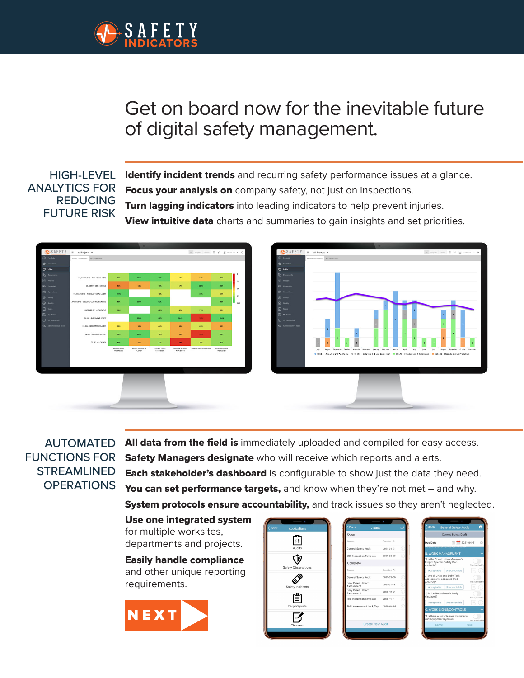<span id="page-1-0"></span>

## Get on board now for the inevitable future of digital safety management.

#### HIGH-LEVEL ANALYTICS FOR REDUCING FUTURE RISK

Identify incident trends and recurring safety performance issues at a glance. Focus your analysis on company safety, not just on inspections. **Turn lagging indicators** into leading indicators to help prevent injuries. View intuitive data charts and summaries to gain insights and set priorities.



### AUTOMATED FUNCTIONS FOR **STREAMLINED** OPERATIONS

All data from the field is immediately uploaded and compiled for easy access. Safety Managers designate who will receive which reports and alerts. **Each stakeholder's dashboard** is configurable to show just the data they need. You can set performance targets, and know when they're not met – and why. System protocols ensure accountability, and track issues so they aren't neglected.

Use one integrated system for multiple worksites, departments and projects.

Easily handle compliance and other unique reporting requirements.



| <b>Back</b> | Applications         |  |
|-------------|----------------------|--|
|             | ΥĒ<br>Audits         |  |
|             | Safety Observations  |  |
|             | Safety Incidents     |  |
|             | [≜]<br>Daily Reports |  |
|             | Changes              |  |
|             |                      |  |

| Created At<br>2021-04-21<br>BBS Inspection Template 2021-03-29 |                                                                            |
|----------------------------------------------------------------|----------------------------------------------------------------------------|
|                                                                |                                                                            |
|                                                                |                                                                            |
|                                                                |                                                                            |
|                                                                |                                                                            |
|                                                                |                                                                            |
| Created At                                                     |                                                                            |
| 2021-02-09                                                     | î                                                                          |
| 2021-01-19                                                     | ï                                                                          |
| 2020-12-01                                                     | ï                                                                          |
|                                                                |                                                                            |
|                                                                | ï                                                                          |
|                                                                | BBS Inspection Template 2020-11-11<br>Field Assessment Lock/Tag 2020-04-08 |